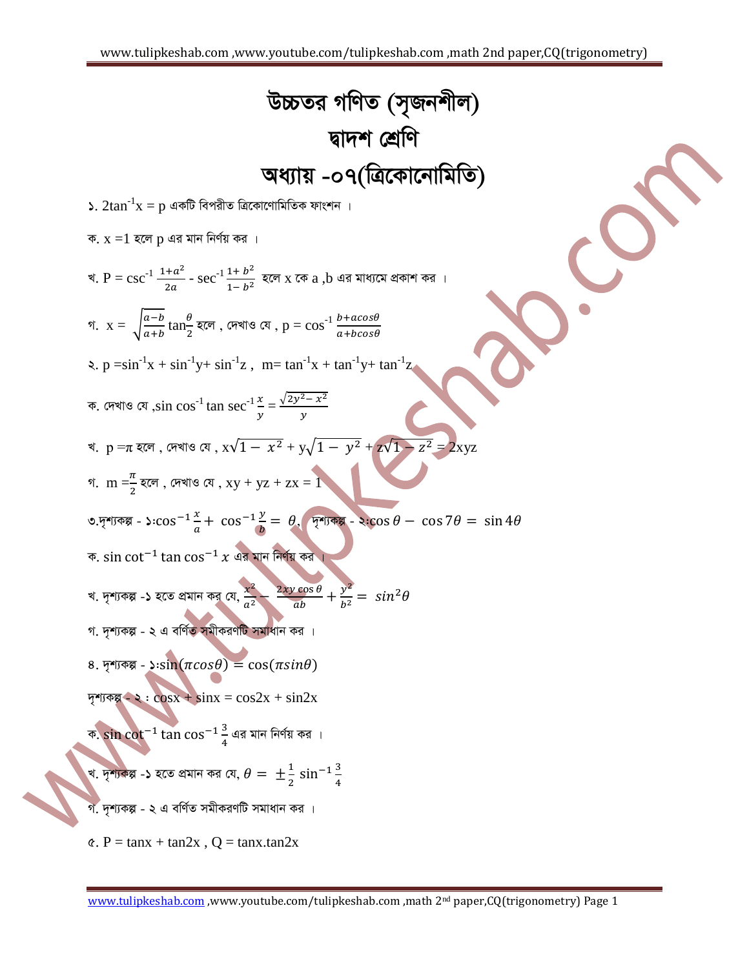*D"PZi MwYZ (m"Rbkxj) Øv`k †kÖwY Aa¨vq -07(w·Kv‡bvwgwZ) 1.* 2tan-1 x = p *GKwU wecixZ w·Kv‡YvwgwZK dvskb | K.* x =1 *n‡j* p *Gi gvb wbY©q Ki | L.* P = csc-1 - sec-1 *n‡j* x *‡K* a ,b *Gi gva¨‡g cÖKvk Ki | n‡j , †`LvI †h ,* p = cos-1 *M.* x = √ tan *2.* p =sin-1 x + sin-1 y+ sin-1 z ,m= tan-1 x + tan-1 y+ tan-1 z *K. †`LvI †h ,*sin cos-1 tan sec-1 √ = *L.* p =π *n‡j , †`LvI †h ,* x√ + y√ + z√ = 2xyz *M.* m = *n‡j , †`LvI †h ,* xy + yz + zx = 1 *3.`"k¨Kí - 1: , `"k¨Kí - 2: K. Gi gvb wbY©q Ki | L. `"k¨Kí -1 n‡Z cÖgvb Ki †h, M. `"k¨Kí - 2 G ewY©Z mgxKiYwU mgvavb Ki | 4. `"k¨Kí - 1:* ( ) ( ) *`"k¨Kí - 2 :* cosx + sinx = cos2x + sin2x *K. Gi gvb wbY©q Ki | L. `"k¨Kí -1 n‡Z cÖgvb Ki †h, M. `"k¨Kí - 2 G ewY©Z mgxKiYwU mgvavb Ki | 5.* P = tanx + tan2x , Q = tanx.tan2x

 $\overline{\phantom{0}}$